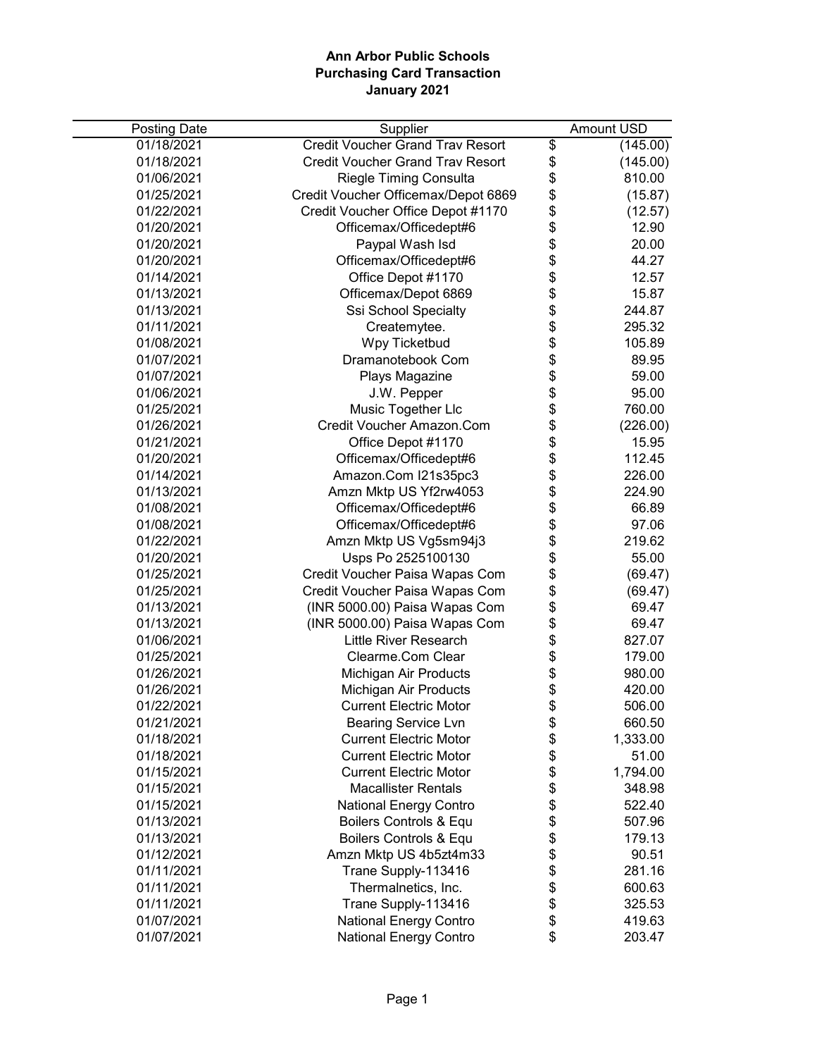| <b>Posting Date</b> | Supplier                                |                                  | Amount USD |
|---------------------|-----------------------------------------|----------------------------------|------------|
| 01/18/2021          | <b>Credit Voucher Grand Trav Resort</b> | \$                               | (145.00)   |
| 01/18/2021          | <b>Credit Voucher Grand Trav Resort</b> | \$                               | (145.00)   |
| 01/06/2021          | Riegle Timing Consulta                  | \$                               | 810.00     |
| 01/25/2021          | Credit Voucher Officemax/Depot 6869     |                                  | (15.87)    |
| 01/22/2021          | Credit Voucher Office Depot #1170       |                                  | (12.57)    |
| 01/20/2021          | Officemax/Officedept#6                  |                                  | 12.90      |
| 01/20/2021          | Paypal Wash Isd                         |                                  | 20.00      |
| 01/20/2021          | Officemax/Officedept#6                  | <b>8888888</b>                   | 44.27      |
| 01/14/2021          | Office Depot #1170                      |                                  | 12.57      |
| 01/13/2021          | Officemax/Depot 6869                    |                                  | 15.87      |
| 01/13/2021          | Ssi School Specialty                    |                                  | 244.87     |
| 01/11/2021          | Createmytee.                            | \$                               | 295.32     |
| 01/08/2021          | Wpy Ticketbud                           |                                  | 105.89     |
| 01/07/2021          | Dramanotebook Com                       |                                  | 89.95      |
| 01/07/2021          | Plays Magazine                          |                                  | 59.00      |
| 01/06/2021          | J.W. Pepper                             |                                  | 95.00      |
| 01/25/2021          | Music Together Llc                      |                                  | 760.00     |
| 01/26/2021          | Credit Voucher Amazon.Com               |                                  | (226.00)   |
| 01/21/2021          | Office Depot #1170                      |                                  | 15.95      |
| 01/20/2021          | Officemax/Officedept#6                  |                                  | 112.45     |
| 01/14/2021          | Amazon.Com I21s35pc3                    |                                  | 226.00     |
| 01/13/2021          | Amzn Mktp US Yf2rw4053                  |                                  | 224.90     |
| 01/08/2021          | Officemax/Officedept#6                  |                                  | 66.89      |
| 01/08/2021          | Officemax/Officedept#6                  | \$\$\$\$\$\$\$\$\$\$\$\$\$\$\$\$ | 97.06      |
| 01/22/2021          | Amzn Mktp US Vg5sm94j3                  |                                  | 219.62     |
| 01/20/2021          | Usps Po 2525100130                      |                                  | 55.00      |
| 01/25/2021          | Credit Voucher Paisa Wapas Com          |                                  | (69.47)    |
| 01/25/2021          | Credit Voucher Paisa Wapas Com          | \$                               | (69.47)    |
| 01/13/2021          | (INR 5000.00) Paisa Wapas Com           |                                  | 69.47      |
| 01/13/2021          | (INR 5000.00) Paisa Wapas Com           | \$\$\$\$\$\$\$                   | 69.47      |
| 01/06/2021          | <b>Little River Research</b>            |                                  | 827.07     |
| 01/25/2021          | Clearme.Com Clear                       |                                  | 179.00     |
| 01/26/2021          | Michigan Air Products                   |                                  | 980.00     |
| 01/26/2021          | Michigan Air Products                   |                                  | 420.00     |
| 01/22/2021          | <b>Current Electric Motor</b>           |                                  | 506.00     |
| 01/21/2021          | <b>Bearing Service Lvn</b>              | \$                               | 660.50     |
| 01/18/2021          | <b>Current Electric Motor</b>           | \$                               | 1,333.00   |
| 01/18/2021          | <b>Current Electric Motor</b>           | \$                               | 51.00      |
| 01/15/2021          | <b>Current Electric Motor</b>           | \$                               | 1,794.00   |
| 01/15/2021          | <b>Macallister Rentals</b>              | \$                               | 348.98     |
| 01/15/2021          | <b>National Energy Contro</b>           | \$                               | 522.40     |
| 01/13/2021          | Boilers Controls & Equ                  |                                  | 507.96     |
| 01/13/2021          | Boilers Controls & Equ                  | \$<br>\$                         | 179.13     |
| 01/12/2021          | Amzn Mktp US 4b5zt4m33                  | \$                               | 90.51      |
| 01/11/2021          | Trane Supply-113416                     | \$                               | 281.16     |
| 01/11/2021          | Thermalnetics, Inc.                     | \$                               | 600.63     |
| 01/11/2021          | Trane Supply-113416                     | \$                               | 325.53     |
| 01/07/2021          | National Energy Contro                  | \$                               | 419.63     |
| 01/07/2021          | <b>National Energy Contro</b>           | \$                               | 203.47     |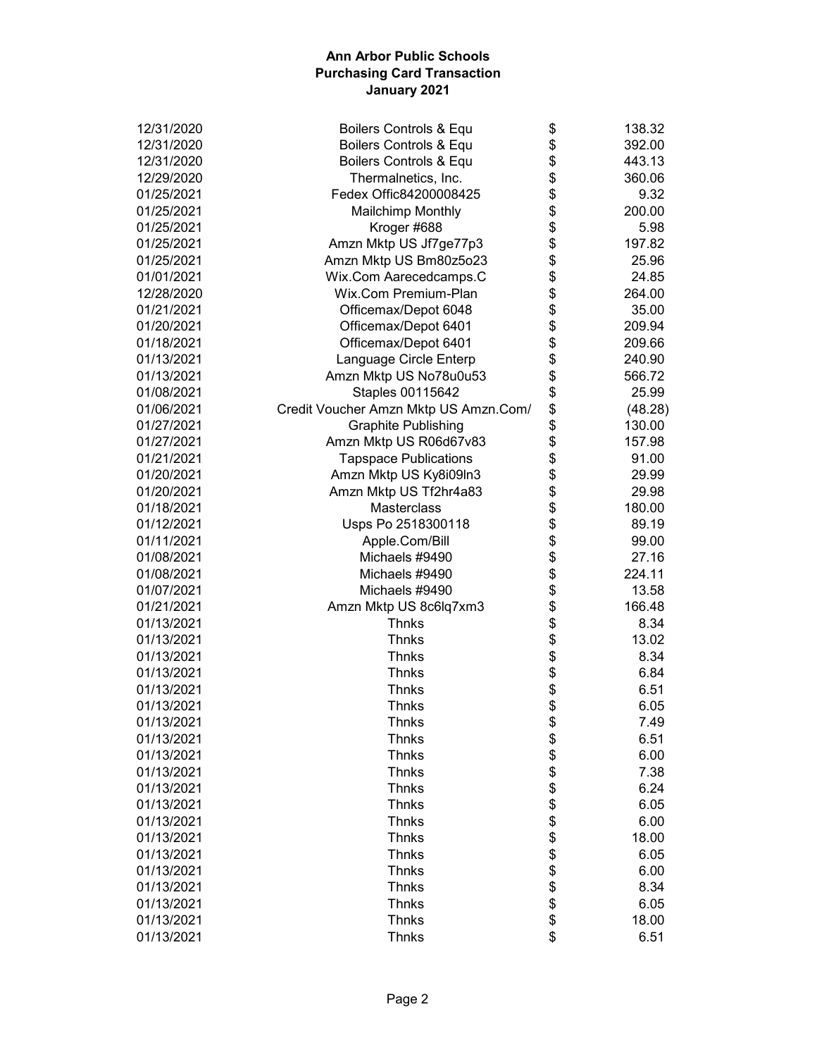| 12/31/2020 | Boilers Controls & Equ                | \$       | 138.32  |
|------------|---------------------------------------|----------|---------|
| 12/31/2020 | Boilers Controls & Equ                | \$       | 392.00  |
| 12/31/2020 | Boilers Controls & Equ                | \$       | 443.13  |
| 12/29/2020 | Thermalnetics, Inc.                   | \$       | 360.06  |
| 01/25/2021 | Fedex Offic84200008425                | \$       | 9.32    |
| 01/25/2021 | <b>Mailchimp Monthly</b>              | \$       | 200.00  |
| 01/25/2021 | Kroger #688                           | \$       | 5.98    |
| 01/25/2021 | Amzn Mktp US Jf7ge77p3                | \$       | 197.82  |
| 01/25/2021 | Amzn Mktp US Bm80z5o23                | \$       | 25.96   |
| 01/01/2021 | Wix.Com Aarecedcamps.C                | \$       | 24.85   |
| 12/28/2020 | Wix.Com Premium-Plan                  | \$       | 264.00  |
| 01/21/2021 | Officemax/Depot 6048                  | \$       | 35.00   |
| 01/20/2021 | Officemax/Depot 6401                  | \$       | 209.94  |
| 01/18/2021 | Officemax/Depot 6401                  | \$       | 209.66  |
| 01/13/2021 | Language Circle Enterp                | \$       | 240.90  |
| 01/13/2021 | Amzn Mktp US No78u0u53                | \$       | 566.72  |
| 01/08/2021 | Staples 00115642                      | \$       | 25.99   |
| 01/06/2021 | Credit Voucher Amzn Mktp US Amzn.Com/ | \$       | (48.28) |
| 01/27/2021 | <b>Graphite Publishing</b>            | \$       | 130.00  |
| 01/27/2021 | Amzn Mktp US R06d67v83                | \$       | 157.98  |
| 01/21/2021 | <b>Tapspace Publications</b>          | \$       | 91.00   |
| 01/20/2021 | Amzn Mktp US Ky8i09ln3                | \$       | 29.99   |
| 01/20/2021 | Amzn Mktp US Tf2hr4a83                | \$       | 29.98   |
| 01/18/2021 | Masterclass                           | \$       | 180.00  |
| 01/12/2021 | Usps Po 2518300118                    | \$       | 89.19   |
| 01/11/2021 | Apple.Com/Bill                        |          | 99.00   |
| 01/08/2021 | Michaels #9490                        | \$<br>\$ | 27.16   |
| 01/08/2021 | Michaels #9490                        | \$       | 224.11  |
|            |                                       |          |         |
| 01/07/2021 | Michaels #9490                        | \$       | 13.58   |
| 01/21/2021 | Amzn Mktp US 8c6lq7xm3                | \$       | 166.48  |
| 01/13/2021 | <b>Thnks</b>                          | \$       | 8.34    |
| 01/13/2021 | <b>Thnks</b>                          | \$       | 13.02   |
| 01/13/2021 | <b>Thnks</b>                          | \$       | 8.34    |
| 01/13/2021 | <b>Thnks</b>                          | \$       | 6.84    |
| 01/13/2021 | <b>Thnks</b>                          | \$       | 6.51    |
| 01/13/2021 | <b>Thnks</b>                          | \$       | 6.05    |
| 01/13/2021 | Thnks                                 | \$       | 7.49    |
| 01/13/2021 | <b>Thnks</b>                          | \$       | 6.51    |
| 01/13/2021 | <b>Thnks</b>                          | \$       | 6.00    |
| 01/13/2021 | <b>Thnks</b>                          | \$       | 7.38    |
| 01/13/2021 | <b>Thnks</b>                          | \$       | 6.24    |
| 01/13/2021 | <b>Thnks</b>                          | \$       | 6.05    |
| 01/13/2021 | <b>Thnks</b>                          | \$       | 6.00    |
| 01/13/2021 | <b>Thnks</b>                          | \$       | 18.00   |
| 01/13/2021 | <b>Thnks</b>                          | \$       | 6.05    |
| 01/13/2021 | <b>Thnks</b>                          | \$       | 6.00    |
| 01/13/2021 | <b>Thnks</b>                          | \$       | 8.34    |
| 01/13/2021 | <b>Thnks</b>                          | \$       | 6.05    |
| 01/13/2021 | <b>Thnks</b>                          | \$       | 18.00   |
| 01/13/2021 | <b>Thnks</b>                          | \$       | 6.51    |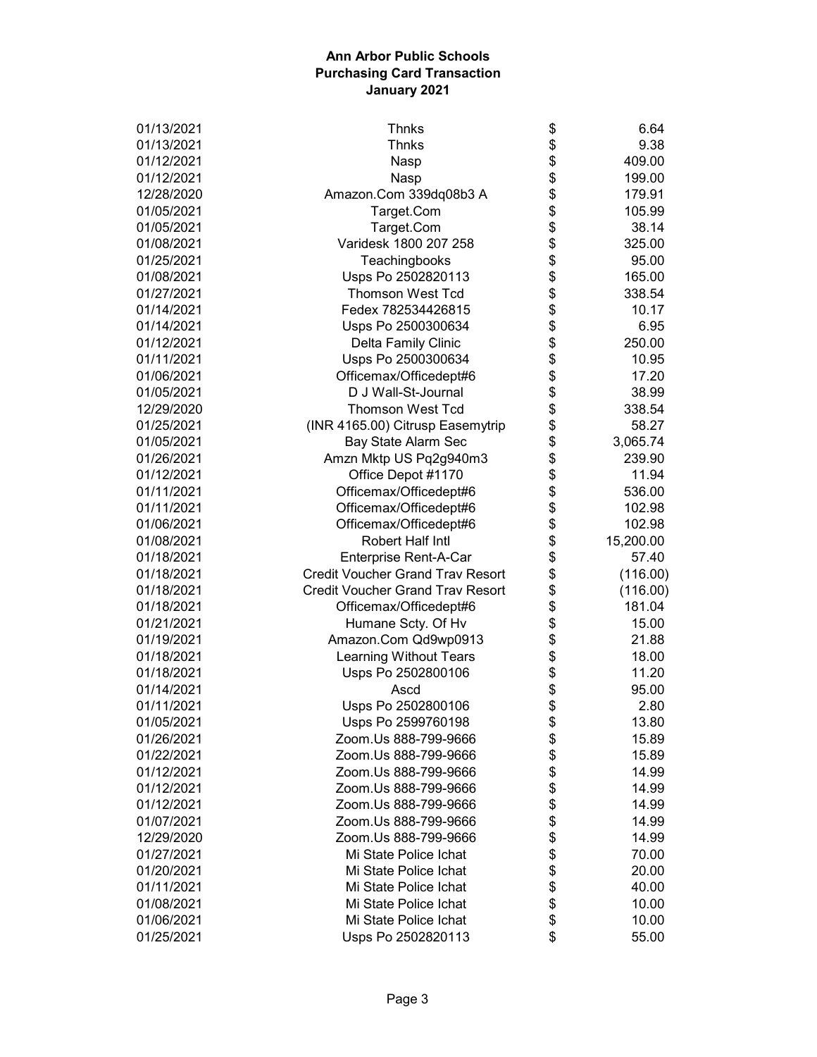| 01/13/2021 | <b>Thnks</b>                            | \$<br>6.64      |
|------------|-----------------------------------------|-----------------|
| 01/13/2021 | <b>Thnks</b>                            | \$<br>9.38      |
| 01/12/2021 | Nasp                                    | \$<br>409.00    |
| 01/12/2021 | Nasp                                    | \$<br>199.00    |
| 12/28/2020 | Amazon.Com 339dq08b3 A                  | \$<br>179.91    |
| 01/05/2021 | Target.Com                              | \$<br>105.99    |
| 01/05/2021 | Target.Com                              | \$<br>38.14     |
| 01/08/2021 | Varidesk 1800 207 258                   | \$<br>325.00    |
| 01/25/2021 | Teachingbooks                           | \$<br>95.00     |
| 01/08/2021 | Usps Po 2502820113                      | \$<br>165.00    |
| 01/27/2021 | <b>Thomson West Tcd</b>                 | \$<br>338.54    |
| 01/14/2021 | Fedex 782534426815                      | \$<br>10.17     |
| 01/14/2021 | Usps Po 2500300634                      | \$<br>6.95      |
| 01/12/2021 | Delta Family Clinic                     | \$<br>250.00    |
| 01/11/2021 | Usps Po 2500300634                      | \$<br>10.95     |
| 01/06/2021 | Officemax/Officedept#6                  | \$<br>17.20     |
| 01/05/2021 | D J Wall-St-Journal                     | \$<br>38.99     |
| 12/29/2020 | <b>Thomson West Tcd</b>                 | \$<br>338.54    |
| 01/25/2021 | (INR 4165.00) Citrusp Easemytrip        | \$<br>58.27     |
| 01/05/2021 | Bay State Alarm Sec                     | \$<br>3,065.74  |
| 01/26/2021 | Amzn Mktp US Pq2g940m3                  | \$<br>239.90    |
| 01/12/2021 | Office Depot #1170                      | \$<br>11.94     |
| 01/11/2021 | Officemax/Officedept#6                  | \$<br>536.00    |
| 01/11/2021 | Officemax/Officedept#6                  | \$<br>102.98    |
| 01/06/2021 | Officemax/Officedept#6                  | \$<br>102.98    |
| 01/08/2021 | Robert Half Intl                        | \$<br>15,200.00 |
| 01/18/2021 | Enterprise Rent-A-Car                   | \$<br>57.40     |
| 01/18/2021 | <b>Credit Voucher Grand Trav Resort</b> | \$<br>(116.00)  |
| 01/18/2021 | <b>Credit Voucher Grand Trav Resort</b> | \$<br>(116.00)  |
| 01/18/2021 | Officemax/Officedept#6                  | \$<br>181.04    |
| 01/21/2021 | Humane Scty. Of Hv                      | \$<br>15.00     |
| 01/19/2021 | Amazon.Com Qd9wp0913                    | \$<br>21.88     |
| 01/18/2021 | Learning Without Tears                  | \$<br>18.00     |
| 01/18/2021 | Usps Po 2502800106                      | \$<br>11.20     |
| 01/14/2021 | Ascd                                    | \$<br>95.00     |
| 01/11/2021 | Usps Po 2502800106                      | \$<br>2.80      |
| 01/05/2021 | Usps Po 2599760198                      | \$<br>13.80     |
| 01/26/2021 | Zoom.Us 888-799-9666                    | \$<br>15.89     |
| 01/22/2021 | Zoom.Us 888-799-9666                    | \$<br>15.89     |
| 01/12/2021 | Zoom.Us 888-799-9666                    | \$<br>14.99     |
| 01/12/2021 | Zoom.Us 888-799-9666                    | \$<br>14.99     |
| 01/12/2021 | Zoom.Us 888-799-9666                    | \$<br>14.99     |
| 01/07/2021 | Zoom.Us 888-799-9666                    | \$<br>14.99     |
| 12/29/2020 | Zoom.Us 888-799-9666                    | \$<br>14.99     |
| 01/27/2021 | Mi State Police Ichat                   | \$<br>70.00     |
| 01/20/2021 | Mi State Police Ichat                   | \$<br>20.00     |
| 01/11/2021 | Mi State Police Ichat                   | \$<br>40.00     |
| 01/08/2021 | Mi State Police Ichat                   | \$<br>10.00     |
| 01/06/2021 | Mi State Police Ichat                   | \$<br>10.00     |
| 01/25/2021 | Usps Po 2502820113                      | \$<br>55.00     |
|            |                                         |                 |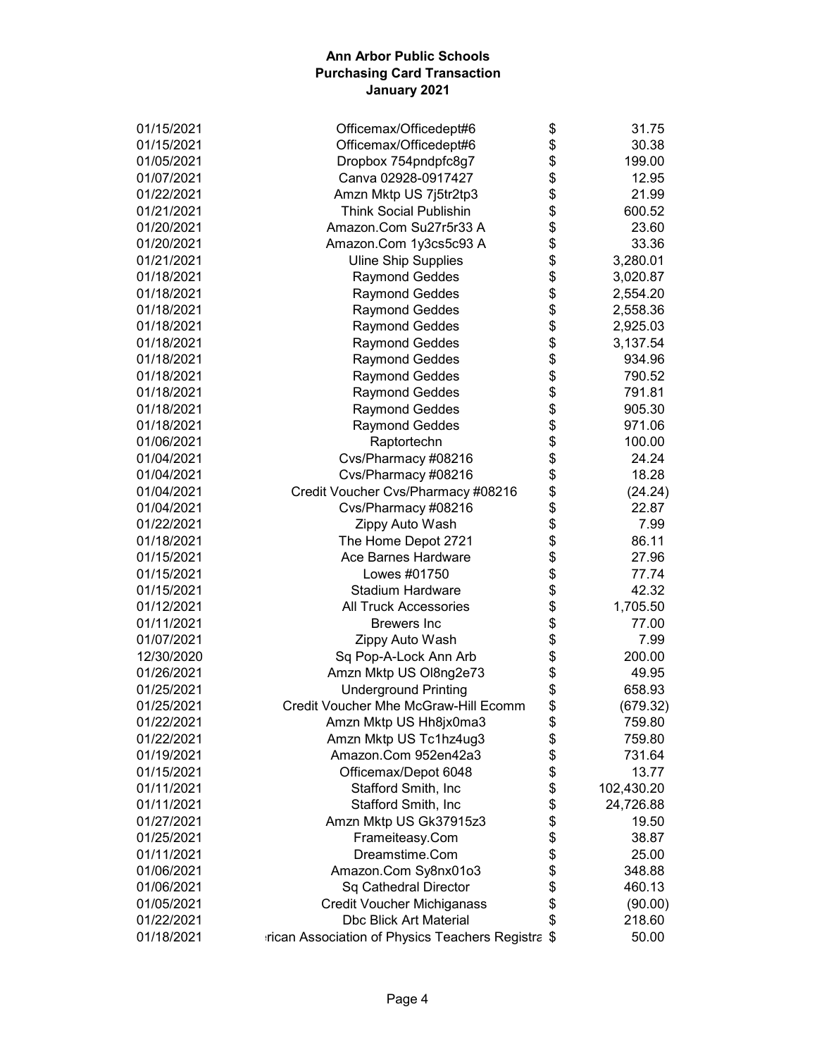| 01/15/2021 | Officemax/Officedept#6                            | \$       | 31.75      |
|------------|---------------------------------------------------|----------|------------|
| 01/15/2021 | Officemax/Officedept#6                            | \$       | 30.38      |
| 01/05/2021 | Dropbox 754pndpfc8g7                              | \$       | 199.00     |
| 01/07/2021 | Canva 02928-0917427                               | \$       | 12.95      |
| 01/22/2021 | Amzn Mktp US 7j5tr2tp3                            | \$       | 21.99      |
| 01/21/2021 | <b>Think Social Publishin</b>                     | \$       | 600.52     |
| 01/20/2021 | Amazon.Com Su27r5r33 A                            | \$       | 23.60      |
| 01/20/2021 | Amazon.Com 1y3cs5c93 A                            | \$       | 33.36      |
| 01/21/2021 | <b>Uline Ship Supplies</b>                        | \$       | 3,280.01   |
| 01/18/2021 | <b>Raymond Geddes</b>                             | \$       | 3,020.87   |
| 01/18/2021 | <b>Raymond Geddes</b>                             | \$       | 2,554.20   |
| 01/18/2021 | <b>Raymond Geddes</b>                             | \$       | 2,558.36   |
| 01/18/2021 | <b>Raymond Geddes</b>                             | \$       | 2,925.03   |
| 01/18/2021 | <b>Raymond Geddes</b>                             | \$       | 3,137.54   |
| 01/18/2021 | <b>Raymond Geddes</b>                             | \$       | 934.96     |
| 01/18/2021 | <b>Raymond Geddes</b>                             | \$       | 790.52     |
| 01/18/2021 | <b>Raymond Geddes</b>                             | \$       | 791.81     |
| 01/18/2021 | <b>Raymond Geddes</b>                             | \$       | 905.30     |
| 01/18/2021 | <b>Raymond Geddes</b>                             | \$       | 971.06     |
| 01/06/2021 | Raptortechn                                       | \$       | 100.00     |
| 01/04/2021 | Cvs/Pharmacy #08216                               | \$       | 24.24      |
| 01/04/2021 | Cvs/Pharmacy #08216                               | \$       | 18.28      |
| 01/04/2021 | Credit Voucher Cvs/Pharmacy #08216                | \$       | (24.24)    |
| 01/04/2021 | Cvs/Pharmacy #08216                               | \$       | 22.87      |
| 01/22/2021 | Zippy Auto Wash                                   | \$       | 7.99       |
| 01/18/2021 | The Home Depot 2721                               | \$       | 86.11      |
| 01/15/2021 | Ace Barnes Hardware                               | \$       | 27.96      |
| 01/15/2021 | Lowes #01750                                      | \$       | 77.74      |
| 01/15/2021 | <b>Stadium Hardware</b>                           | \$       | 42.32      |
| 01/12/2021 | <b>All Truck Accessories</b>                      | \$       | 1,705.50   |
| 01/11/2021 | <b>Brewers</b> Inc                                | \$       | 77.00      |
| 01/07/2021 | Zippy Auto Wash                                   | \$       | 7.99       |
| 12/30/2020 | Sq Pop-A-Lock Ann Arb                             | \$       | 200.00     |
| 01/26/2021 | Amzn Mktp US Ol8ng2e73                            | \$       | 49.95      |
| 01/25/2021 | <b>Underground Printing</b>                       | \$       | 658.93     |
| 01/25/2021 | Credit Voucher Mhe McGraw-Hill Ecomm              | \$       | (679.32)   |
| 01/22/2021 |                                                   |          | 759.80     |
| 01/22/2021 | Amzn Mktp US Hh8jx0ma3                            | \$       | 759.80     |
| 01/19/2021 | Amzn Mktp US Tc1hz4ug3<br>Amazon.Com 952en42a3    | \$<br>\$ |            |
|            |                                                   |          | 731.64     |
| 01/15/2021 | Officemax/Depot 6048                              | \$       | 13.77      |
| 01/11/2021 | Stafford Smith, Inc                               | \$       | 102,430.20 |
| 01/11/2021 | Stafford Smith, Inc                               | \$       | 24,726.88  |
| 01/27/2021 | Amzn Mktp US Gk37915z3                            | \$       | 19.50      |
| 01/25/2021 | Frameiteasy.Com                                   | \$       | 38.87      |
| 01/11/2021 | Dreamstime.Com                                    | \$       | 25.00      |
| 01/06/2021 | Amazon.Com Sy8nx01o3                              | \$       | 348.88     |
| 01/06/2021 | Sq Cathedral Director                             | \$       | 460.13     |
| 01/05/2021 | <b>Credit Voucher Michiganass</b>                 | \$       | (90.00)    |
| 01/22/2021 | <b>Dbc Blick Art Material</b>                     | \$       | 218.60     |
| 01/18/2021 | rican Association of Physics Teachers Registra \$ |          | 50.00      |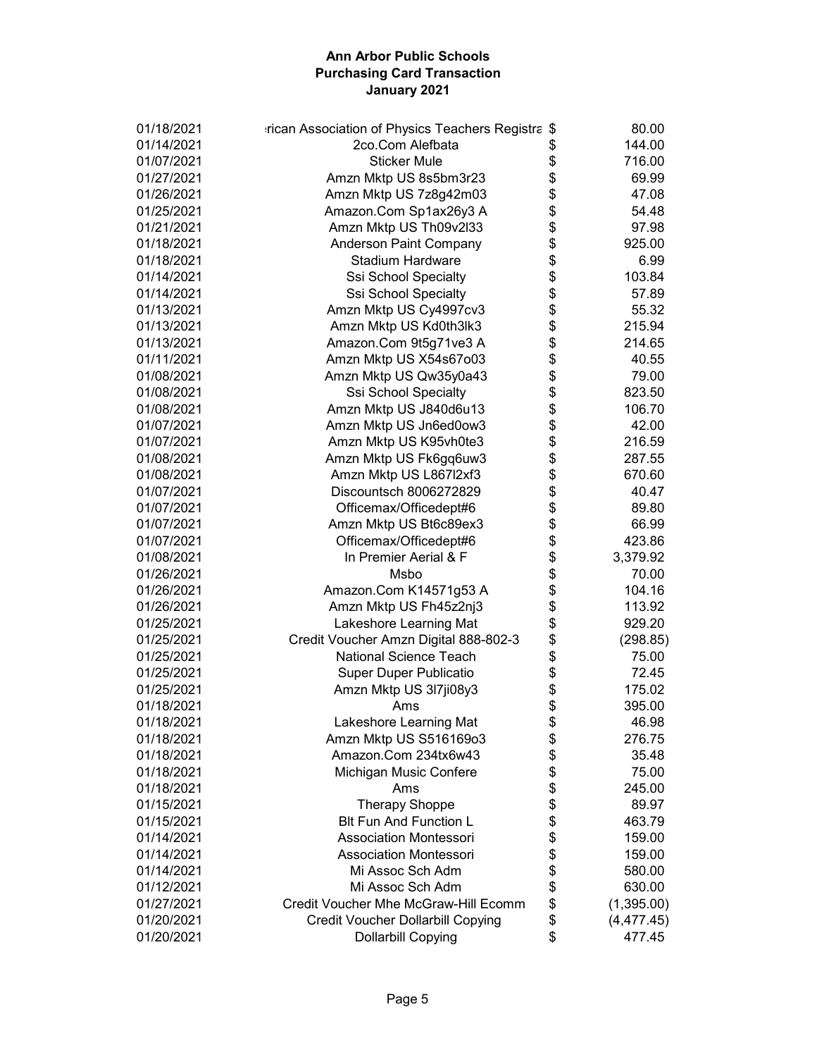| 01/18/2021 | rican Association of Physics Teachers Registra \$ | 80.00             |
|------------|---------------------------------------------------|-------------------|
| 01/14/2021 | 2co.Com Alefbata                                  | \$<br>144.00      |
| 01/07/2021 | <b>Sticker Mule</b>                               | \$<br>716.00      |
| 01/27/2021 | Amzn Mktp US 8s5bm3r23                            | \$<br>69.99       |
| 01/26/2021 | Amzn Mktp US 7z8g42m03                            | \$<br>47.08       |
| 01/25/2021 | Amazon.Com Sp1ax26y3 A                            | \$<br>54.48       |
| 01/21/2021 | Amzn Mktp US Th09v2l33                            | \$<br>97.98       |
| 01/18/2021 | Anderson Paint Company                            | \$<br>925.00      |
| 01/18/2021 | <b>Stadium Hardware</b>                           | \$<br>6.99        |
| 01/14/2021 | Ssi School Specialty                              | \$<br>103.84      |
| 01/14/2021 | Ssi School Specialty                              | \$<br>57.89       |
| 01/13/2021 | Amzn Mktp US Cy4997cv3                            | \$<br>55.32       |
| 01/13/2021 | Amzn Mktp US Kd0th3lk3                            | \$<br>215.94      |
| 01/13/2021 | Amazon.Com 9t5g71ve3 A                            | \$<br>214.65      |
| 01/11/2021 | Amzn Mktp US X54s67o03                            | \$<br>40.55       |
| 01/08/2021 | Amzn Mktp US Qw35y0a43                            | \$<br>79.00       |
| 01/08/2021 |                                                   | \$<br>823.50      |
|            | Ssi School Specialty                              | \$<br>106.70      |
| 01/08/2021 | Amzn Mktp US J840d6u13                            |                   |
| 01/07/2021 | Amzn Mktp US Jn6ed0ow3                            | \$<br>42.00       |
| 01/07/2021 | Amzn Mktp US K95vh0te3                            | \$<br>216.59      |
| 01/08/2021 | Amzn Mktp US Fk6gq6uw3                            | \$<br>287.55      |
| 01/08/2021 | Amzn Mktp US L867l2xf3                            | \$<br>670.60      |
| 01/07/2021 | Discountsch 8006272829                            | \$<br>40.47       |
| 01/07/2021 | Officemax/Officedept#6                            | \$<br>89.80       |
| 01/07/2021 | Amzn Mktp US Bt6c89ex3                            | \$<br>66.99       |
| 01/07/2021 | Officemax/Officedept#6                            | \$<br>423.86      |
| 01/08/2021 | In Premier Aerial & F                             | \$<br>3,379.92    |
| 01/26/2021 | Msbo                                              | \$<br>70.00       |
| 01/26/2021 | Amazon.Com K14571g53 A                            | \$<br>104.16      |
| 01/26/2021 | Amzn Mktp US Fh45z2nj3                            | \$<br>113.92      |
| 01/25/2021 | Lakeshore Learning Mat                            | \$<br>929.20      |
| 01/25/2021 | Credit Voucher Amzn Digital 888-802-3             | \$<br>(298.85)    |
| 01/25/2021 | National Science Teach                            | \$<br>75.00       |
| 01/25/2021 | Super Duper Publicatio                            | \$<br>72.45       |
| 01/25/2021 | Amzn Mktp US 3l7ji08y3                            | \$<br>175.02      |
| 01/18/2021 | Ams                                               | \$<br>395.00      |
| 01/18/2021 | Lakeshore Learning Mat                            | \$<br>46.98       |
| 01/18/2021 | Amzn Mktp US S516169o3                            | \$<br>276.75      |
| 01/18/2021 | Amazon.Com 234tx6w43                              | \$<br>35.48       |
| 01/18/2021 | Michigan Music Confere                            | \$<br>75.00       |
| 01/18/2021 | Ams                                               | \$<br>245.00      |
| 01/15/2021 | <b>Therapy Shoppe</b>                             | \$<br>89.97       |
| 01/15/2021 | <b>Blt Fun And Function L</b>                     | \$<br>463.79      |
| 01/14/2021 | <b>Association Montessori</b>                     | \$<br>159.00      |
| 01/14/2021 | <b>Association Montessori</b>                     | \$<br>159.00      |
| 01/14/2021 | Mi Assoc Sch Adm                                  | \$<br>580.00      |
| 01/12/2021 | Mi Assoc Sch Adm                                  | \$<br>630.00      |
| 01/27/2021 | Credit Voucher Mhe McGraw-Hill Ecomm              | \$                |
|            |                                                   | (1,395.00)        |
| 01/20/2021 | <b>Credit Voucher Dollarbill Copying</b>          | \$<br>(4, 477.45) |
| 01/20/2021 | <b>Dollarbill Copying</b>                         | \$<br>477.45      |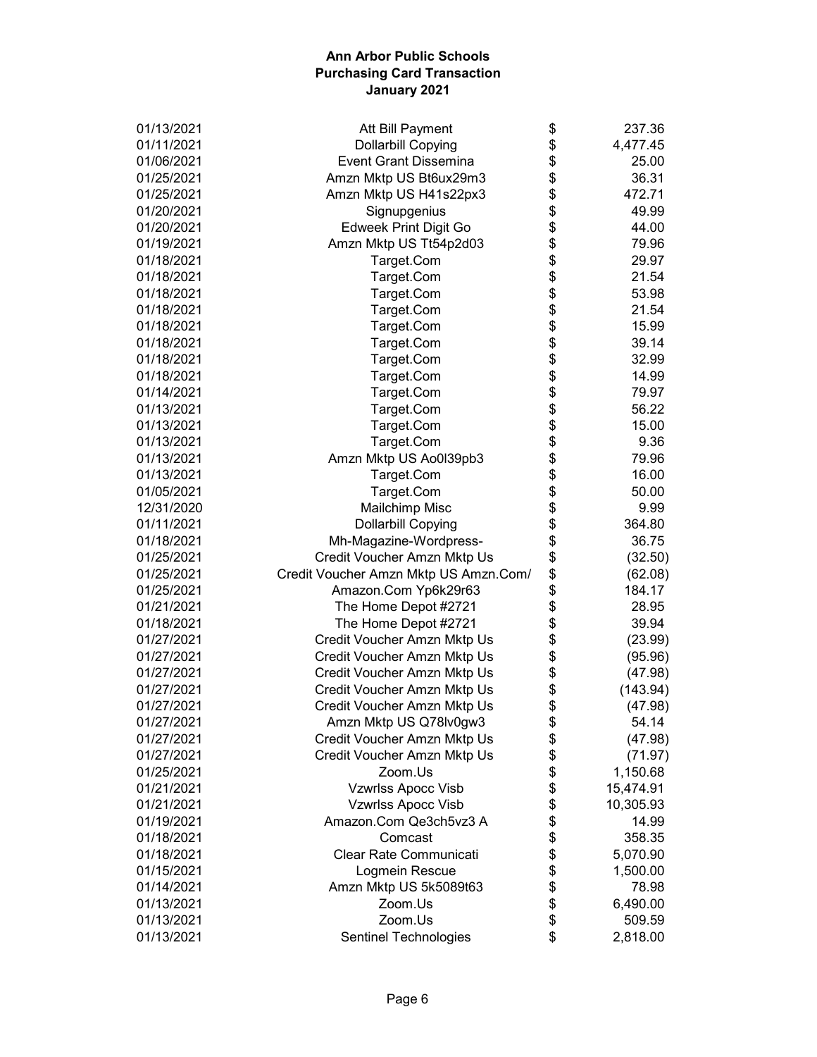| 01/13/2021 | Att Bill Payment                      | \$       | 237.36    |
|------------|---------------------------------------|----------|-----------|
| 01/11/2021 | <b>Dollarbill Copying</b>             | \$       | 4,477.45  |
| 01/06/2021 | <b>Event Grant Dissemina</b>          | \$       | 25.00     |
| 01/25/2021 | Amzn Mktp US Bt6ux29m3                | \$       | 36.31     |
| 01/25/2021 | Amzn Mktp US H41s22px3                | \$       | 472.71    |
| 01/20/2021 | Signupgenius                          | \$       | 49.99     |
| 01/20/2021 | <b>Edweek Print Digit Go</b>          | \$       | 44.00     |
| 01/19/2021 | Amzn Mktp US Tt54p2d03                | \$       | 79.96     |
| 01/18/2021 | Target.Com                            | \$       | 29.97     |
| 01/18/2021 | Target.Com                            | \$       | 21.54     |
| 01/18/2021 | Target.Com                            | \$       | 53.98     |
| 01/18/2021 | Target.Com                            | \$       | 21.54     |
| 01/18/2021 | Target.Com                            | \$       | 15.99     |
| 01/18/2021 | Target.Com                            | \$       | 39.14     |
| 01/18/2021 | Target.Com                            | \$       | 32.99     |
| 01/18/2021 | Target.Com                            | \$       | 14.99     |
| 01/14/2021 | Target.Com                            | \$       | 79.97     |
| 01/13/2021 | Target.Com                            | \$       | 56.22     |
| 01/13/2021 | Target.Com                            | \$       | 15.00     |
| 01/13/2021 | Target.Com                            | \$       | 9.36      |
| 01/13/2021 | Amzn Mktp US Ao0I39pb3                | \$       | 79.96     |
| 01/13/2021 | Target.Com                            | \$       | 16.00     |
| 01/05/2021 | Target.Com                            | \$       | 50.00     |
| 12/31/2020 | Mailchimp Misc                        | \$       | 9.99      |
| 01/11/2021 | <b>Dollarbill Copying</b>             | \$       | 364.80    |
| 01/18/2021 |                                       |          | 36.75     |
| 01/25/2021 | Mh-Magazine-Wordpress-                | \$<br>\$ |           |
| 01/25/2021 | Credit Voucher Amzn Mktp Us           |          | (32.50)   |
|            | Credit Voucher Amzn Mktp US Amzn.Com/ | \$       | (62.08)   |
| 01/25/2021 | Amazon.Com Yp6k29r63                  | \$       | 184.17    |
| 01/21/2021 | The Home Depot #2721                  | \$       | 28.95     |
| 01/18/2021 | The Home Depot #2721                  | \$       | 39.94     |
| 01/27/2021 | Credit Voucher Amzn Mktp Us           | \$       | (23.99)   |
| 01/27/2021 | Credit Voucher Amzn Mktp Us           | \$       | (95.96)   |
| 01/27/2021 | Credit Voucher Amzn Mktp Us           | \$       | (47.98)   |
| 01/27/2021 | Credit Voucher Amzn Mktp Us           | \$       | (143.94)  |
| 01/27/2021 | Credit Voucher Amzn Mktp Us           | \$       | (47.98)   |
| 01/27/2021 | Amzn Mktp US Q78lv0gw3                | \$       | 54.14     |
| 01/27/2021 | Credit Voucher Amzn Mktp Us           | \$       | (47.98)   |
| 01/27/2021 | Credit Voucher Amzn Mktp Us           | \$       | (71.97)   |
| 01/25/2021 | Zoom.Us                               | \$       | 1,150.68  |
| 01/21/2021 | Vzwrlss Apocc Visb                    | \$       | 15,474.91 |
| 01/21/2021 | Vzwrlss Apocc Visb                    | \$       | 10,305.93 |
| 01/19/2021 | Amazon.Com Qe3ch5vz3 A                | \$       | 14.99     |
| 01/18/2021 | Comcast                               | \$       | 358.35    |
| 01/18/2021 | Clear Rate Communicati                | \$       | 5,070.90  |
| 01/15/2021 | Logmein Rescue                        | \$       | 1,500.00  |
| 01/14/2021 | Amzn Mktp US 5k5089t63                | \$       | 78.98     |
| 01/13/2021 | Zoom.Us                               | \$       | 6,490.00  |
| 01/13/2021 | Zoom.Us                               | \$       | 509.59    |
| 01/13/2021 | Sentinel Technologies                 | \$       | 2,818.00  |